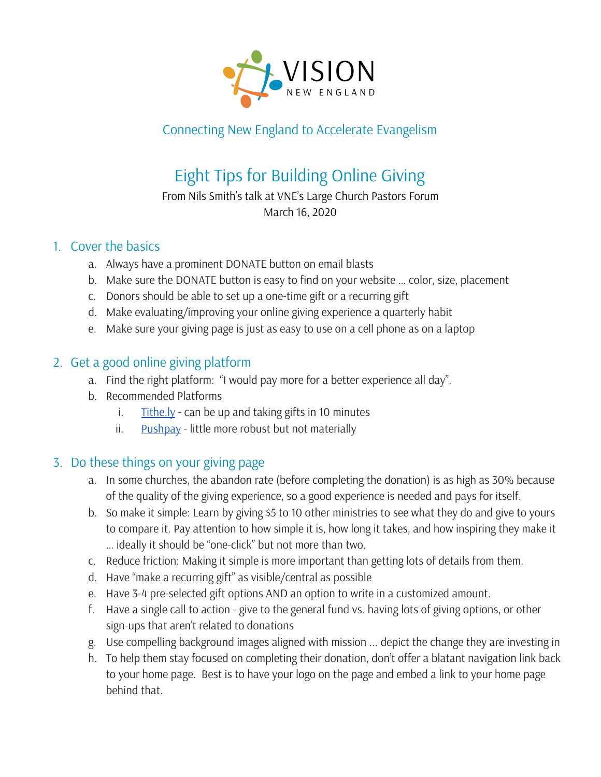

## Connecting New England to Accelerate Evangelism

# Eight Tips for Building Online Giving

#### From Nils Smith's talk at VNE's Large Church Pastors Forum March 16, 2020

#### 1. Cover the basics

- a. Always have a prominent DONATE button on email blasts
- b. Make sure the DONATE button is easy to find on your website … color, size, placement
- c. Donors should be able to set up a one-time gift or a recurring gift
- d. Make evaluating/improving your online giving experience a quarterly habit
- e. Make sure your giving page is just as easy to use on a cell phone as on a laptop

## 2. Get a good online giving platform

- a. Find the right platform: "I would pay more for a better experience all day".
- b. Recommended Platforms
	- i.  $\frac{$  [Tithe.ly](https://get.tithe.ly/) can be up and taking gifts in 10 minutes
	- ii. [Pushpay](https://pushpay.com/) little more robust but not materially

## 3. Do these things on your giving page

- a. In some churches, the abandon rate (before completing the donation) is as high as 30% because of the quality of the giving experience, so a good experience is needed and pays for itself.
- b. So make it simple: Learn by giving \$5 to 10 other ministries to see what they do and give to yours to compare it. Pay attention to how simple it is, how long it takes, and how inspiring they make it … ideally it should be "one-click" but not more than two.
- c. Reduce friction: Making it simple is more important than getting lots of details from them.
- d. Have "make a recurring gift" as visible/central as possible
- e. Have 3-4 pre-selected gift options AND an option to write in a customized amount.
- f. Have a single call to action give to the general fund vs. having lots of giving options, or other sign-ups that aren't related to donations
- g. Use compelling background images aligned with mission ... depict the change they are investing in
- h. To help them stay focused on completing their donation, don't offer a blatant navigation link back to your home page. Best is to have your logo on the page and embed a link to your home page behind that.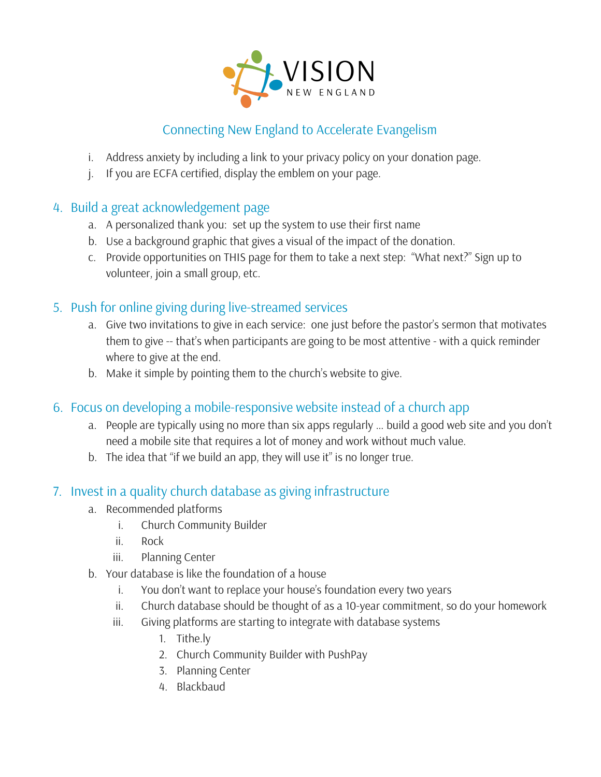

## Connecting New England to Accelerate Evangelism

- i. Address anxiety by including a link to your privacy policy on your donation page.
- j. If you are ECFA certified, display the emblem on your page.

#### 4. Build a great acknowledgement page

- a. A personalized thank you: set up the system to use their first name
- b. Use a background graphic that gives a visual of the impact of the donation.
- c. Provide opportunities on THIS page for them to take a next step: "What next?" Sign up to volunteer, join a small group, etc.

#### 5. Push for online giving during live-streamed services

- a. Give two invitations to give in each service: one just before the pastor's sermon that motivates them to give -- that's when participants are going to be most attentive - with a quick reminder where to give at the end.
- b. Make it simple by pointing them to the church's website to give.
- 6. Focus on developing a mobile-responsive website instead of a church app
	- a. People are typically using no more than six apps regularly … build a good web site and you don't need a mobile site that requires a lot of money and work without much value.
	- b. The idea that "if we build an app, they will use it" is no longer true.

#### 7. Invest in a quality church database as giving infrastructure

- a. Recommended platforms
	- i. Church Community Builder
	- ii. Rock
	- iii. Planning Center
- b. Your database is like the foundation of a house
	- i. You don't want to replace your house's foundation every two years
	- ii. Church database should be thought of as a 10-year commitment, so do your homework
	- iii. Giving platforms are starting to integrate with database systems
		- 1. Tithe.ly
		- 2. Church Community Builder with PushPay
		- 3. Planning Center
		- 4. Blackbaud